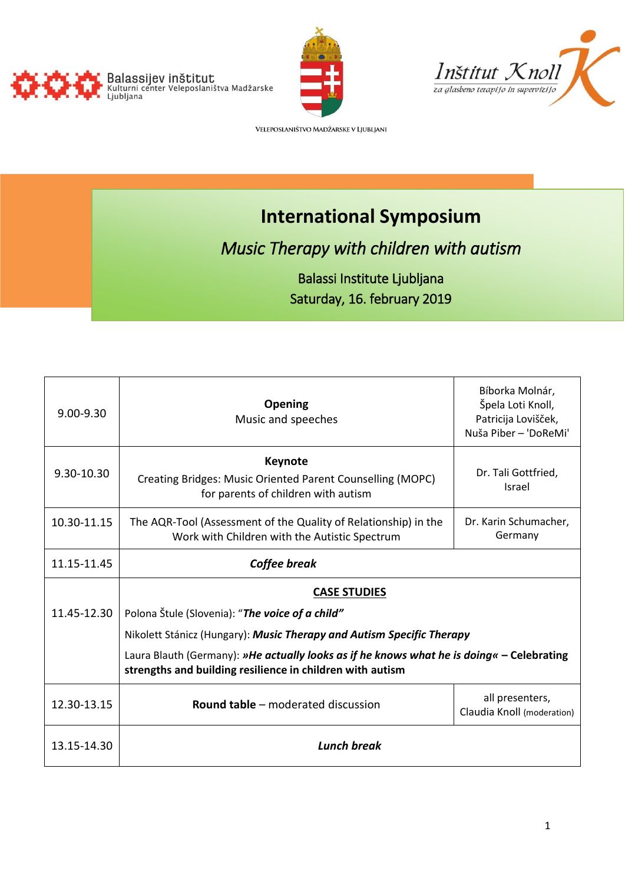





VELEPOSLANIŠTVO MADŽARSKE V LJUBLJANI

# **International Symposium**

# *Music Therapy with children with autism*

# Balassi Institute Ljubljana Saturday, 16. february 2019

| $9.00 - 9.30$ | Opening<br>Music and speeches                                                                                                                          | Bíborka Molnár,<br>Špela Loti Knoll,<br>Patricija Lovišček,<br>Nuša Piber - 'DoReMi' |
|---------------|--------------------------------------------------------------------------------------------------------------------------------------------------------|--------------------------------------------------------------------------------------|
| 9.30-10.30    | <b>Keynote</b><br>Creating Bridges: Music Oriented Parent Counselling (MOPC)<br>for parents of children with autism                                    | Dr. Tali Gottfried,<br>Israel                                                        |
| 10.30-11.15   | The AQR-Tool (Assessment of the Quality of Relationship) in the<br>Work with Children with the Autistic Spectrum                                       | Dr. Karin Schumacher,<br>Germany                                                     |
| 11.15-11.45   | Coffee break                                                                                                                                           |                                                                                      |
|               | <b>CASE STUDIES</b>                                                                                                                                    |                                                                                      |
| 11.45-12.30   | Polona Štule (Slovenia): "The voice of a child"                                                                                                        |                                                                                      |
|               | Nikolett Stánicz (Hungary): Music Therapy and Autism Specific Therapy                                                                                  |                                                                                      |
|               | Laura Blauth (Germany): »He actually looks as if he knows what he is doing« - Celebrating<br>strengths and building resilience in children with autism |                                                                                      |
| 12.30-13.15   | <b>Round table - moderated discussion</b>                                                                                                              | all presenters,<br>Claudia Knoll (moderation)                                        |
| 13.15-14.30   | <b>Lunch break</b>                                                                                                                                     |                                                                                      |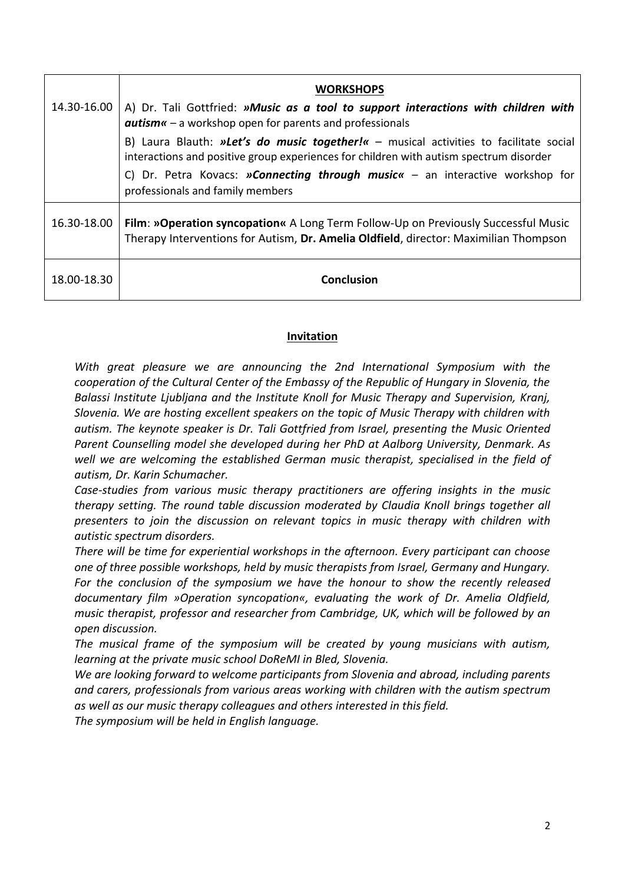|             | <b>WORKSHOPS</b>                                                                                                                                                                        |  |
|-------------|-----------------------------------------------------------------------------------------------------------------------------------------------------------------------------------------|--|
| 14.30-16.00 | A) Dr. Tali Gottfried: »Music as a tool to support interactions with children with<br>$autism \kappa - a$ workshop open for parents and professionals                                   |  |
|             | B) Laura Blauth: »Let's do music together! $\kappa$ – musical activities to facilitate social<br>interactions and positive group experiences for children with autism spectrum disorder |  |
|             | C) Dr. Petra Kovacs: <b>»Connecting through music</b> $\kappa$ – an interactive workshop for<br>professionals and family members                                                        |  |
| 16.30-18.00 | Film: »Operation syncopation« A Long Term Follow-Up on Previously Successful Music<br>Therapy Interventions for Autism, Dr. Amelia Oldfield, director: Maximilian Thompson              |  |
| 18.00-18.30 | <b>Conclusion</b>                                                                                                                                                                       |  |

# **Invitation**

*With great pleasure we are announcing the 2nd International Symposium with the cooperation of the Cultural Center of the Embassy of the Republic of Hungary in Slovenia, the Balassi Institute Ljubljana and the Institute Knoll for Music Therapy and Supervision, Kranj, Slovenia. We are hosting excellent speakers on the topic of Music Therapy with children with autism. The keynote speaker is Dr. Tali Gottfried from Israel, presenting the Music Oriented Parent Counselling model she developed during her PhD at Aalborg University, Denmark. As well we are welcoming the established German music therapist, specialised in the field of autism, Dr. Karin Schumacher.* 

*Case-studies from various music therapy practitioners are offering insights in the music therapy setting. The round table discussion moderated by Claudia Knoll brings together all presenters to join the discussion on relevant topics in music therapy with children with autistic spectrum disorders.*

*There will be time for experiential workshops in the afternoon. Every participant can choose one of three possible workshops, held by music therapists from Israel, Germany and Hungary. For the conclusion of the symposium we have the honour to show the recently released documentary film »Operation syncopation«, evaluating the work of Dr. Amelia Oldfield, music therapist, professor and researcher from Cambridge, UK, which will be followed by an open discussion.*

*The musical frame of the symposium will be created by young musicians with autism, learning at the private music school DoReMI in Bled, Slovenia.* 

*We are looking forward to welcome participants from Slovenia and abroad, including parents and carers, professionals from various areas working with children with the autism spectrum as well as our music therapy colleagues and others interested in this field.* 

*The symposium will be held in English language.*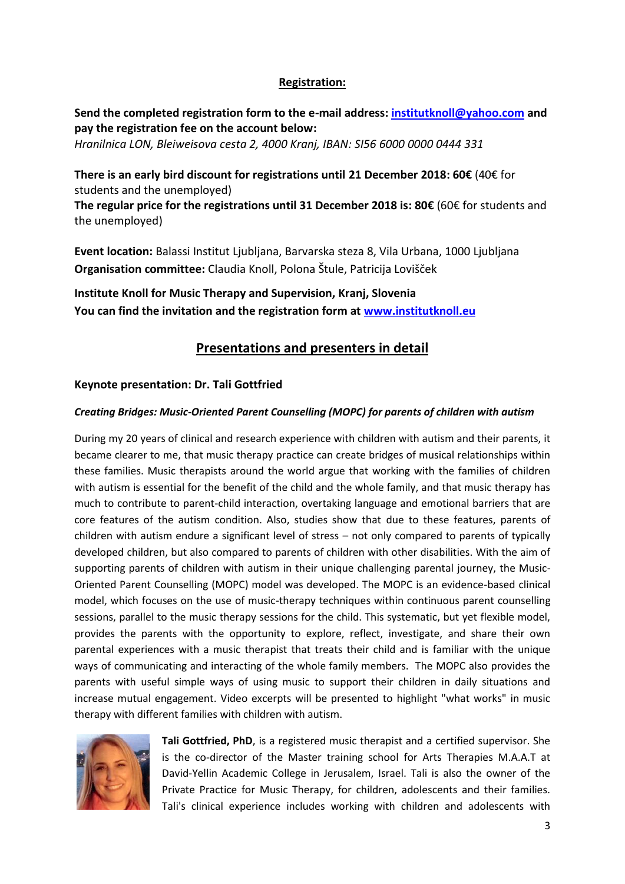## **Registration:**

**Send the completed registration form to the e-mail address[: institutknoll@yahoo.com](mailto:institutknoll@yahoo.com) and pay the registration fee on the account below:**

*Hranilnica LON, Bleiweisova cesta 2, 4000 Kranj, IBAN: SI56 6000 0000 0444 331* 

**There is an early bird discount for registrations until 21 December 2018: 60€** (40€ for students and the unemployed)

**The regular price for the registrations until 31 December 2018 is: 80€** (60€ for students and the unemployed)

**Event location:** Balassi Institut Ljubljana, Barvarska steza 8, Vila Urbana, 1000 Ljubljana **Organisation committee:** Claudia Knoll, Polona Štule, Patricija Lovišček

**Institute Knoll for Music Therapy and Supervision, Kranj, Slovenia You can find the invitation and the registration form at [www.institutknoll.eu](http://www.institutknoll.eu/)**

# **Presentations and presenters in detail**

## **Keynote presentation: Dr. Tali Gottfried**

## *Creating Bridges: Music-Oriented Parent Counselling (MOPC) for parents of children with autism*

During my 20 years of clinical and research experience with children with autism and their parents, it became clearer to me, that music therapy practice can create bridges of musical relationships within these families. Music therapists around the world argue that working with the families of children with autism is essential for the benefit of the child and the whole family, and that music therapy has much to contribute to parent-child interaction, overtaking language and emotional barriers that are core features of the autism condition. Also, studies show that due to these features, parents of children with autism endure a significant level of stress – not only compared to parents of typically developed children, but also compared to parents of children with other disabilities. With the aim of supporting parents of children with autism in their unique challenging parental journey, the Music-Oriented Parent Counselling (MOPC) model was developed. The MOPC is an evidence-based clinical model, which focuses on the use of music-therapy techniques within continuous parent counselling sessions, parallel to the music therapy sessions for the child. This systematic, but yet flexible model, provides the parents with the opportunity to explore, reflect, investigate, and share their own parental experiences with a music therapist that treats their child and is familiar with the unique ways of communicating and interacting of the whole family members. The MOPC also provides the parents with useful simple ways of using music to support their children in daily situations and increase mutual engagement. Video excerpts will be presented to highlight "what works" in music therapy with different families with children with autism.



**Tali Gottfried, PhD**, is a registered music therapist and a certified supervisor. She is the co-director of the Master training school for Arts Therapies M.A.A.T at David-Yellin Academic College in Jerusalem, Israel. Tali is also the owner of the Private Practice for Music Therapy, for children, adolescents and their families. Tali's clinical experience includes working with children and adolescents with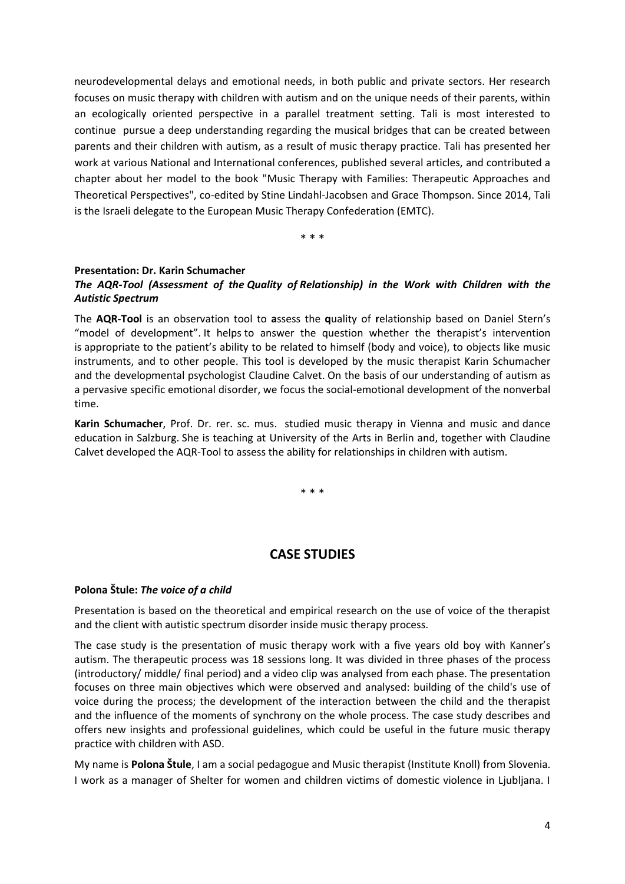neurodevelopmental delays and emotional needs, in both public and private sectors. Her research focuses on music therapy with children with autism and on the unique needs of their parents, within an ecologically oriented perspective in a parallel treatment setting. Tali is most interested to continue pursue a deep understanding regarding the musical bridges that can be created between parents and their children with autism, as a result of music therapy practice. Tali has presented her work at various National and International conferences, published several articles, and contributed a chapter about her model to the book "Music Therapy with Families: Therapeutic Approaches and Theoretical Perspectives", co-edited by Stine Lindahl-Jacobsen and Grace Thompson. Since 2014, Tali is the Israeli delegate to the European Music Therapy Confederation (EMTC).

\* \* \*

## **Presentation: Dr. Karin Schumacher**

## *The AQR-Tool (Assessment of the Quality of Relationship) in the Work with Children with the Autistic Spectrum*

The **AQR-Tool** is an observation tool to **a**ssess the **q**uality of **r**elationship based on Daniel Stern's "model of development". It helps to answer the question whether the therapist's intervention is appropriate to the patient's ability to be related to himself (body and voice), to objects like music instruments, and to other people. This tool is developed by the music therapist Karin Schumacher and the developmental psychologist Claudine Calvet. On the basis of our understanding of autism as a pervasive specific emotional disorder, we focus the social-emotional development of the nonverbal time.

**Karin Schumacher**, Prof. Dr. rer. sc. mus. studied music therapy in Vienna and music and dance education in Salzburg. She is teaching at University of the Arts in Berlin and, together with Claudine Calvet developed the AQR-Tool to assess the ability for relationships in children with autism.

\* \* \*

# **CASE STUDIES**

## **Polona Štule:** *The voice of a child*

Presentation is based on the theoretical and empirical research on the use of voice of the therapist and the client with autistic spectrum disorder inside music therapy process.

The case study is the presentation of music therapy work with a five years old boy with Kanner's autism. The therapeutic process was 18 sessions long. It was divided in three phases of the process (introductory/ middle/ final period) and a video clip was analysed from each phase. The presentation focuses on three main objectives which were observed and analysed: building of the child's use of voice during the process; the development of the interaction between the child and the therapist and the influence of the moments of synchrony on the whole process. The case study describes and offers new insights and professional guidelines, which could be useful in the future music therapy practice with children with ASD.

My name is **Polona Štule**, I am a social pedagogue and Music therapist (Institute Knoll) from Slovenia. I work as a manager of Shelter for women and children victims of domestic violence in Ljubljana. I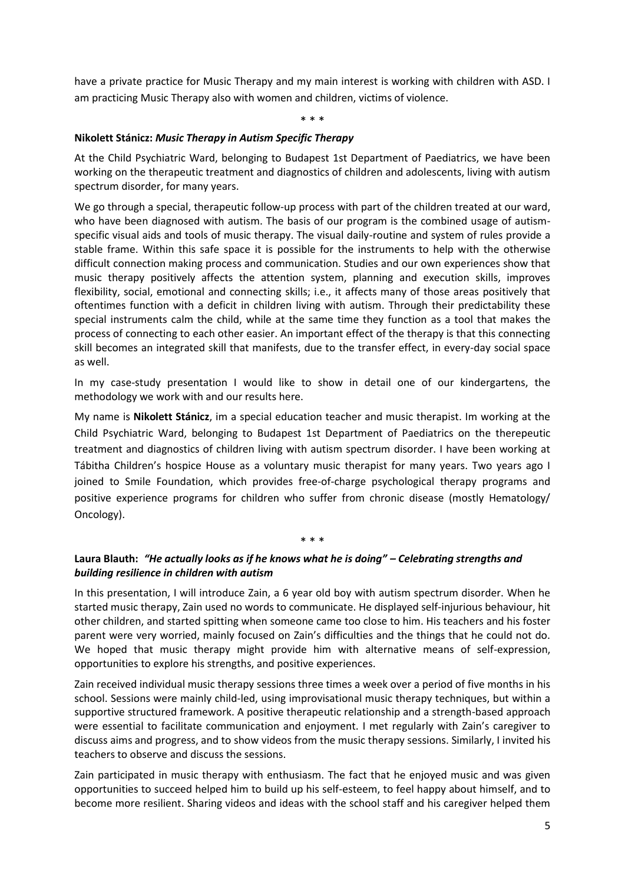have a private practice for Music Therapy and my main interest is working with children with ASD. I am practicing Music Therapy also with women and children, victims of violence.

#### \* \* \*

### **Nikolett Stánicz:** *Music Therapy in Autism Specific Therapy*

At the Child Psychiatric Ward, belonging to Budapest 1st Department of Paediatrics, we have been working on the therapeutic treatment and diagnostics of children and adolescents, living with autism spectrum disorder, for many years.

We go through a special, therapeutic follow-up process with part of the children treated at our ward, who have been diagnosed with autism. The basis of our program is the combined usage of autismspecific visual aids and tools of music therapy. The visual daily-routine and system of rules provide a stable frame. Within this safe space it is possible for the instruments to help with the otherwise difficult connection making process and communication. Studies and our own experiences show that music therapy positively affects the attention system, planning and execution skills, improves flexibility, social, emotional and connecting skills; i.e., it affects many of those areas positively that oftentimes function with a deficit in children living with autism. Through their predictability these special instruments calm the child, while at the same time they function as a tool that makes the process of connecting to each other easier. An important effect of the therapy is that this connecting skill becomes an integrated skill that manifests, due to the transfer effect, in every-day social space as well.

In my case-study presentation I would like to show in detail one of our kindergartens, the methodology we work with and our results here.

My name is **Nikolett Stánicz**, im a special education teacher and music therapist. Im working at the Child Psychiatric Ward, belonging to Budapest 1st Department of Paediatrics on the therepeutic treatment and diagnostics of children living with autism spectrum disorder. I have been working at Tábitha Children's hospice House as a voluntary music therapist for many years. Two years ago I joined to Smile Foundation, which provides free-of-charge psychological therapy programs and positive experience programs for children who suffer from chronic disease (mostly Hematology/ Oncology).

# \* \* \*

## **Laura Blauth:** *"He actually looks as if he knows what he is doing" – Celebrating strengths and building resilience in children with autism*

In this presentation, I will introduce Zain, a 6 year old boy with autism spectrum disorder. When he started music therapy, Zain used no words to communicate. He displayed self-injurious behaviour, hit other children, and started spitting when someone came too close to him. His teachers and his foster parent were very worried, mainly focused on Zain's difficulties and the things that he could not do. We hoped that music therapy might provide him with alternative means of self-expression, opportunities to explore his strengths, and positive experiences.

Zain received individual music therapy sessions three times a week over a period of five months in his school. Sessions were mainly child-led, using improvisational music therapy techniques, but within a supportive structured framework. A positive therapeutic relationship and a strength-based approach were essential to facilitate communication and enjoyment. I met regularly with Zain's caregiver to discuss aims and progress, and to show videos from the music therapy sessions. Similarly, I invited his teachers to observe and discuss the sessions.

Zain participated in music therapy with enthusiasm. The fact that he enjoyed music and was given opportunities to succeed helped him to build up his self-esteem, to feel happy about himself, and to become more resilient. Sharing videos and ideas with the school staff and his caregiver helped them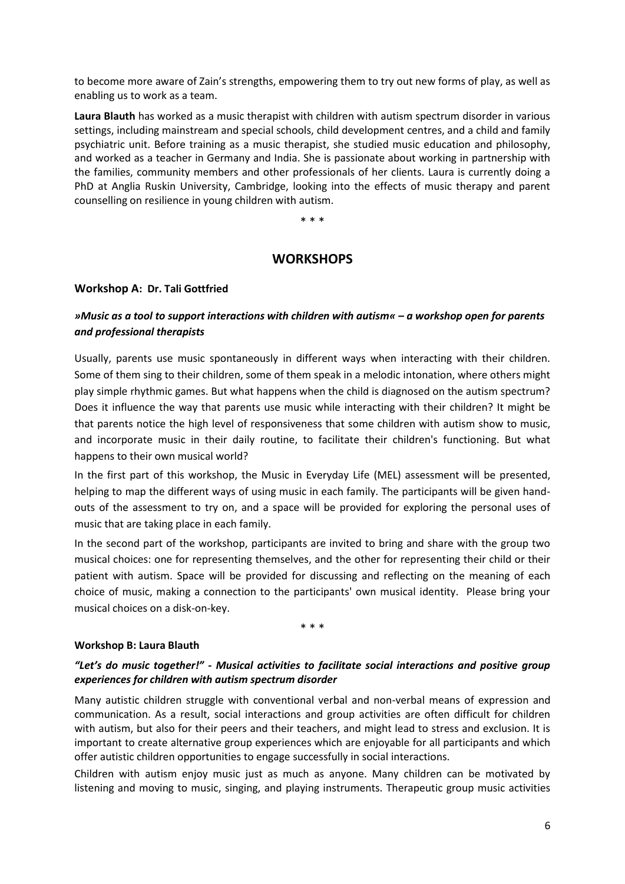to become more aware of Zain's strengths, empowering them to try out new forms of play, as well as enabling us to work as a team.

**Laura Blauth** has worked as a music therapist with children with autism spectrum disorder in various settings, including mainstream and special schools, child development centres, and a child and family psychiatric unit. Before training as a music therapist, she studied music education and philosophy, and worked as a teacher in Germany and India. She is passionate about working in partnership with the families, community members and other professionals of her clients. Laura is currently doing a PhD at Anglia Ruskin University, Cambridge, looking into the effects of music therapy and parent counselling on resilience in young children with autism.

\* \* \*

## **WORKSHOPS**

## **Workshop A: Dr. Tali Gottfried**

# *»Music as a tool to support interactions with children with autism« – a workshop open for parents and professional therapists*

Usually, parents use music spontaneously in different ways when interacting with their children. Some of them sing to their children, some of them speak in a melodic intonation, where others might play simple rhythmic games. But what happens when the child is diagnosed on the autism spectrum? Does it influence the way that parents use music while interacting with their children? It might be that parents notice the high level of responsiveness that some children with autism show to music, and incorporate music in their daily routine, to facilitate their children's functioning. But what happens to their own musical world?

In the first part of this workshop, the Music in Everyday Life (MEL) assessment will be presented, helping to map the different ways of using music in each family. The participants will be given handouts of the assessment to try on, and a space will be provided for exploring the personal uses of music that are taking place in each family.

In the second part of the workshop, participants are invited to bring and share with the group two musical choices: one for representing themselves, and the other for representing their child or their patient with autism. Space will be provided for discussing and reflecting on the meaning of each choice of music, making a connection to the participants' own musical identity. Please bring your musical choices on a disk-on-key.

\* \* \*

#### **Workshop B: Laura Blauth**

## *"Let's do music together!" - Musical activities to facilitate social interactions and positive group experiences for children with autism spectrum disorder*

Many autistic children struggle with conventional verbal and non-verbal means of expression and communication. As a result, social interactions and group activities are often difficult for children with autism, but also for their peers and their teachers, and might lead to stress and exclusion. It is important to create alternative group experiences which are enjoyable for all participants and which offer autistic children opportunities to engage successfully in social interactions.

Children with autism enjoy music just as much as anyone. Many children can be motivated by listening and moving to music, singing, and playing instruments. Therapeutic group music activities